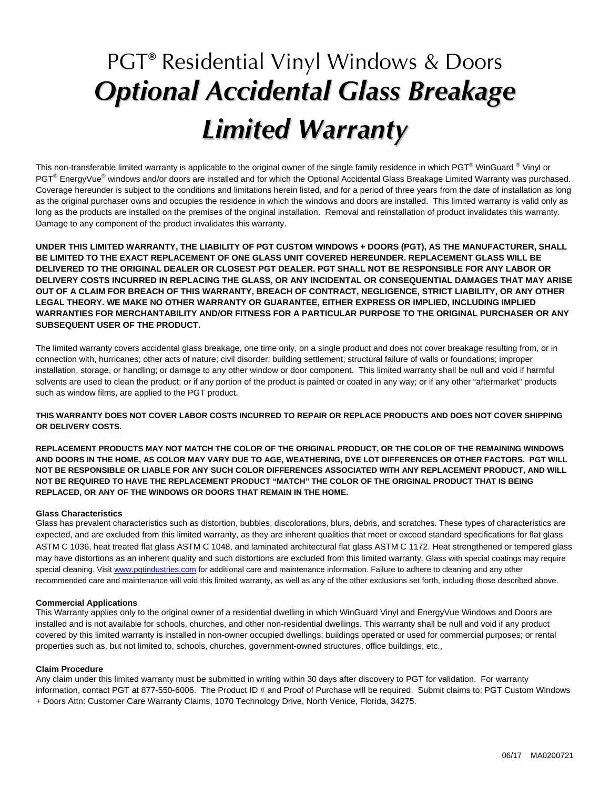## PGT**®** Residential Vinyl Windows & Doors *Optional Accidental Glass Breakage Limited Warranty*

This non-transferable limited warranty is applicable to the original owner of the single family residence in which PGT® WinGuard ® Vinyl or PGT<sup>®</sup> EnergyVue<sup>®</sup> windows and/or doors are installed and for which the Optional Accidental Glass Breakage Limited Warranty was purchased. Coverage hereunder is subject to the conditions and limitations herein listed, and for a period of three years from the date of installation as long as the original purchaser owns and occupies the residence in which the windows and doors are installed. This limited warranty is valid only as long as the products are installed on the premises of the original installation. Removal and reinstallation of product invalidates this warranty. Damage to any component of the product invalidates this warranty.

**UNDER THIS LIMITED WARRANTY, THE LIABILITY OF PGT CUSTOM WINDOWS + DOORS (PGT), AS THE MANUFACTURER, SHALL BE LIMITED TO THE EXACT REPLACEMENT OF ONE GLASS UNIT COVERED HEREUNDER. REPLACEMENT GLASS WILL BE DELIVERED TO THE ORIGINAL DEALER OR CLOSEST PGT DEALER. PGT SHALL NOT BE RESPONSIBLE FOR ANY LABOR OR DELIVERY COSTS INCURRED IN REPLACING THE GLASS, OR ANY INCIDENTAL OR CONSEQUENTIAL DAMAGES THAT MAY ARISE OUT OF A CLAIM FOR BREACH OF THIS WARRANTY, BREACH OF CONTRACT, NEGLIGENCE, STRICT LIABILITY, OR ANY OTHER LEGAL THEORY. WE MAKE NO OTHER WARRANTY OR GUARANTEE, EITHER EXPRESS OR IMPLIED, INCLUDING IMPLIED WARRANTIES FOR MERCHANTABILITY AND/OR FITNESS FOR A PARTICULAR PURPOSE TO THE ORIGINAL PURCHASER OR ANY SUBSEQUENT USER OF THE PRODUCT.** 

The limited warranty covers accidental glass breakage, one time only, on a single product and does not cover breakage resulting from, or in connection with, hurricanes; other acts of nature; civil disorder; building settlement; structural failure of walls or foundations; improper installation, storage, or handling; or damage to any other window or door component. This limited warranty shall be null and void if harmful solvents are used to clean the product; or if any portion of the product is painted or coated in any way; or if any other "aftermarket" products such as window films, are applied to the PGT product.

**THIS WARRANTY DOES NOT COVER LABOR COSTS INCURRED TO REPAIR OR REPLACE PRODUCTS AND DOES NOT COVER SHIPPING OR DELIVERY COSTS.** 

**REPLACEMENT PRODUCTS MAY NOT MATCH THE COLOR OF THE ORIGINAL PRODUCT, OR THE COLOR OF THE REMAINING WINDOWS AND DOORS IN THE HOME, AS COLOR MAY VARY DUE TO AGE, WEATHERING, DYE LOT DIFFERENCES OR OTHER FACTORS. PGT WILL NOT BE RESPONSIBLE OR LIABLE FOR ANY SUCH COLOR DIFFERENCES ASSOCIATED WITH ANY REPLACEMENT PRODUCT, AND WILL NOT BE REQUIRED TO HAVE THE REPLACEMENT PRODUCT "MATCH" THE COLOR OF THE ORIGINAL PRODUCT THAT IS BEING REPLACED, OR ANY OF THE WINDOWS OR DOORS THAT REMAIN IN THE HOME.**

## **Glass Characteristics**

Glass has prevalent characteristics such as distortion, bubbles, discolorations, blurs, debris, and scratches. These types of characteristics are expected, and are excluded from this limited warranty, as they are inherent qualities that meet or exceed standard specifications for flat glass ASTM C 1036, heat treated flat glass ASTM C 1048, and laminated architectural flat glass ASTM C 1172. Heat strengthened or tempered glass may have distortions as an inherent quality and such distortions are excluded from this limited warranty. Glass with special coatings may require special cleaning. Visit www.pgtindustries.com for additional care and maintenance information. Failure to adhere to cleaning and any other recommended care and maintenance will void this limited warranty, as well as any of the other exclusions set forth, including those described above.

## **Commercial Applications**

This Warranty applies only to the original owner of a residential dwelling in which WinGuard Vinyl and EnergyVue Windows and Doors are installed and is not available for schools, churches, and other non-residential dwellings. This warranty shall be null and void if any product covered by this limited warranty is installed in non-owner occupied dwellings; buildings operated or used for commercial purposes; or rental properties such as, but not limited to, schools, churches, government-owned structures, office buildings, etc.,

## **Claim Procedure**

Any claim under this limited warranty must be submitted in writing within 30 days after discovery to PGT for validation. For warranty information, contact PGT at 877-550-6006. The Product ID # and Proof of Purchase will be required. Submit claims to: PGT Custom Windows + Doors Attn: Customer Care Warranty Claims, 1070 Technology Drive, North Venice, Florida, 34275.